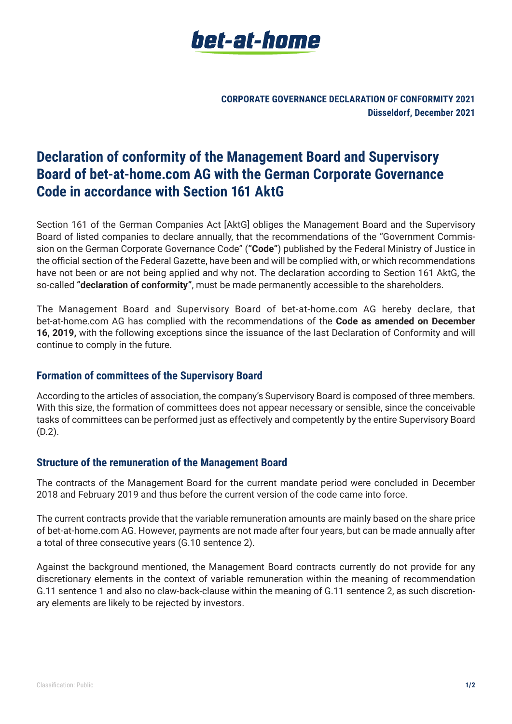

**CORPORATE GOVERNANCE DECLARATION OF CONFORMITY 2021 Düsseldorf, December 2021**

# **Declaration of conformity of the Management Board and Supervisory Board of bet-at-home.com AG with the German Corporate Governance Code in accordance with Section 161 AktG**

Section 161 of the German Companies Act [AktG] obliges the Management Board and the Supervisory Board of listed companies to declare annually, that the recommendations of the "Government Commission on the German Corporate Governance Code" (**"Code"**) published by the Federal Ministry of Justice in the official section of the Federal Gazette, have been and will be complied with, or which recommendations have not been or are not being applied and why not. The declaration according to Section 161 AktG, the so-called **"declaration of conformity"**, must be made permanently accessible to the shareholders.

The Management Board and Supervisory Board of bet-at-home.com AG hereby declare, that bet-at-home.com AG has complied with the recommendations of the **Code as amended on December 16, 2019,** with the following exceptions since the issuance of the last Declaration of Conformity and will continue to comply in the future.

### **Formation of committees of the Supervisory Board**

According to the articles of association, the company's Supervisory Board is composed of three members. With this size, the formation of committees does not appear necessary or sensible, since the conceivable tasks of committees can be performed just as effectively and competently by the entire Supervisory Board (D.2).

### **Structure of the remuneration of the Management Board**

The contracts of the Management Board for the current mandate period were concluded in December 2018 and February 2019 and thus before the current version of the code came into force.

The current contracts provide that the variable remuneration amounts are mainly based on the share price of bet-at-home.com AG. However, payments are not made after four years, but can be made annually after a total of three consecutive years (G.10 sentence 2).

Against the background mentioned, the Management Board contracts currently do not provide for any discretionary elements in the context of variable remuneration within the meaning of recommendation G.11 sentence 1 and also no claw-back-clause within the meaning of G.11 sentence 2, as such discretionary elements are likely to be rejected by investors.